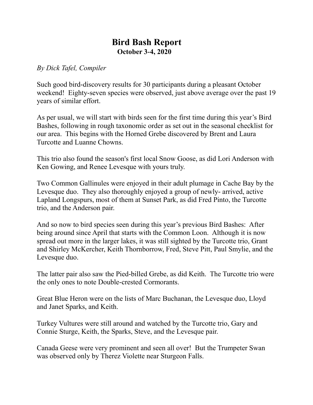## **Bird Bash Report October 3-4, 2020**

*By Dick Tafel, Compiler*

Such good bird-discovery results for 30 participants during a pleasant October weekend! Eighty-seven species were observed, just above average over the past 19 years of similar effort.

As per usual, we will start with birds seen for the first time during this year's Bird Bashes, following in rough taxonomic order as set out in the seasonal checklist for our area. This begins with the Horned Grebe discovered by Brent and Laura Turcotte and Luanne Chowns.

This trio also found the season's first local Snow Goose, as did Lori Anderson with Ken Gowing, and Renee Levesque with yours truly.

Two Common Gallinules were enjoyed in their adult plumage in Cache Bay by the Levesque duo. They also thoroughly enjoyed a group of newly- arrived, active Lapland Longspurs, most of them at Sunset Park, as did Fred Pinto, the Turcotte trio, and the Anderson pair.

And so now to bird species seen during this year's previous Bird Bashes: After being around since April that starts with the Common Loon. Although it is now spread out more in the larger lakes, it was still sighted by the Turcotte trio, Grant and Shirley McKercher, Keith Thornborrow, Fred, Steve Pitt, Paul Smylie, and the Levesque duo.

The latter pair also saw the Pied-billed Grebe, as did Keith. The Turcotte trio were the only ones to note Double-crested Cormorants.

Great Blue Heron were on the lists of Marc Buchanan, the Levesque duo, Lloyd and Janet Sparks, and Keith.

Turkey Vultures were still around and watched by the Turcotte trio, Gary and Connie Sturge, Keith, the Sparks, Steve, and the Levesque pair.

Canada Geese were very prominent and seen all over! But the Trumpeter Swan was observed only by Therez Violette near Sturgeon Falls.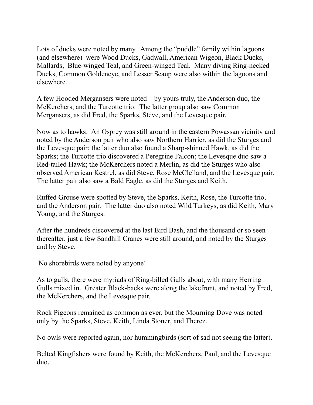Lots of ducks were noted by many. Among the "puddle" family within lagoons (and elsewhere) were Wood Ducks, Gadwall, American Wigeon, Black Ducks, Mallards, Blue-winged Teal, and Green-winged Teal. Many diving Ring-necked Ducks, Common Goldeneye, and Lesser Scaup were also within the lagoons and elsewhere.

A few Hooded Mergansers were noted – by yours truly, the Anderson duo, the McKerchers, and the Turcotte trio. The latter group also saw Common Mergansers, as did Fred, the Sparks, Steve, and the Levesque pair.

Now as to hawks: An Osprey was still around in the eastern Powassan vicinity and noted by the Anderson pair who also saw Northern Harrier, as did the Sturges and the Levesque pair; the latter duo also found a Sharp-shinned Hawk, as did the Sparks; the Turcotte trio discovered a Peregrine Falcon; the Levesque duo saw a Red-tailed Hawk; the McKerchers noted a Merlin, as did the Sturges who also observed American Kestrel, as did Steve, Rose McClelland, and the Levesque pair. The latter pair also saw a Bald Eagle, as did the Sturges and Keith.

Ruffed Grouse were spotted by Steve, the Sparks, Keith, Rose, the Turcotte trio, and the Anderson pair. The latter duo also noted Wild Turkeys, as did Keith, Mary Young, and the Sturges.

After the hundreds discovered at the last Bird Bash, and the thousand or so seen thereafter, just a few Sandhill Cranes were still around, and noted by the Sturges and by Steve.

No shorebirds were noted by anyone!

As to gulls, there were myriads of Ring-billed Gulls about, with many Herring Gulls mixed in. Greater Black-backs were along the lakefront, and noted by Fred, the McKerchers, and the Levesque pair.

Rock Pigeons remained as common as ever, but the Mourning Dove was noted only by the Sparks, Steve, Keith, Linda Stoner, and Therez.

No owls were reported again, nor hummingbirds (sort of sad not seeing the latter).

Belted Kingfishers were found by Keith, the McKerchers, Paul, and the Levesque duo.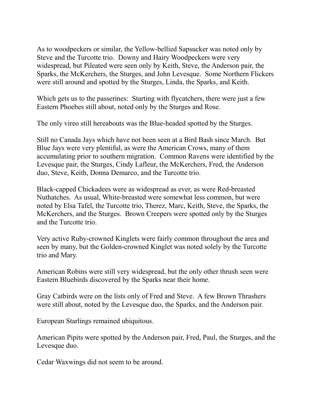As to woodpeckers or similar, the Yellow-bellied Sapsucker was noted only by Steve and the Turcotte trio. Downy and Hairy Woodpeckers were very widespread, but Pileated were seen only by Keith, Steve, the Anderson pair, the Sparks, the McKerchers, the Sturges, and John Levesque. Some Northern Flickers were still around and spotted by the Sturges, Linda, the Sparks, and Keith.

Which gets us to the passerines: Starting with flycatchers, there were just a few Eastern Phoebes still about, noted only by the Sturges and Rose.

The only vireo still hereabouts was the Blue-headed spotted by the Sturges.

Still no Canada Jays which have not been seen at a Bird Bash since March. But Blue Jays were very plentiful, as were the American Crows, many of them accumulating prior to southern migration. Common Ravens were identified by the Levesque pair, the Sturges, Cindy Lafleur, the McKerchers, Fred, the Anderson duo, Steve, Keith, Donna Demarco, and the Turcotte trio.

Black-capped Chickadees were as widespread as ever, as were Red-breasted Nuthatches. As usual, White-breasted were somewhat less common, but were noted by Elsa Tafel, the Turcotte trio, Therez, Marc, Keith, Steve, the Sparks, the McKerchers, and the Sturges. Brown Creepers were spotted only by the Sturges and the Turcotte trio.

Very active Ruby-crowned Kinglets were fairly common throughout the area and seen by many, but the Golden-crowned Kinglet was noted solely by the Turcotte trio and Mary.

American Robins were still very widespread, but the only other thrush seen were Eastern Bluebirds discovered by the Sparks near their home.

Gray Catbirds were on the lists only of Fred and Steve. A few Brown Thrashers were still about, noted by the Levesque duo, the Sparks, and the Anderson pair.

European Starlings remained ubiquitous.

American Pipits were spotted by the Anderson pair, Fred, Paul, the Sturges, and the Levesque duo.

Cedar Waxwings did not seem to be around.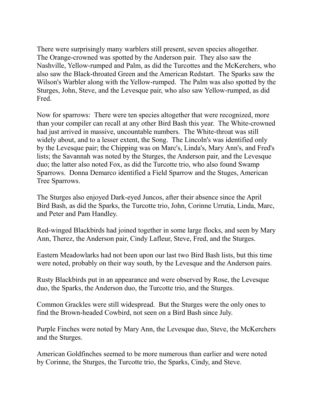There were surprisingly many warblers still present, seven species altogether. The Orange-crowned was spotted by the Anderson pair. They also saw the Nashville, Yellow-rumped and Palm, as did the Turcottes and the McKerchers, who also saw the Black-throated Green and the American Redstart. The Sparks saw the Wilson's Warbler along with the Yellow-rumped. The Palm was also spotted by the Sturges, John, Steve, and the Levesque pair, who also saw Yellow-rumped, as did Fred.

Now for sparrows: There were ten species altogether that were recognized, more than your compiler can recall at any other Bird Bash this year. The White-crowned had just arrived in massive, uncountable numbers. The White-throat was still widely about, and to a lesser extent, the Song. The Lincoln's was identified only by the Levesque pair; the Chipping was on Marc's, Linda's, Mary Ann's, and Fred's lists; the Savannah was noted by the Sturges, the Anderson pair, and the Levesque duo; the latter also noted Fox, as did the Turcotte trio, who also found Swamp Sparrows. Donna Demarco identified a Field Sparrow and the Stuges, American Tree Sparrows.

The Sturges also enjoyed Dark-eyed Juncos, after their absence since the April Bird Bash, as did the Sparks, the Turcotte trio, John, Corinne Urrutia, Linda, Marc, and Peter and Pam Handley.

Red-winged Blackbirds had joined together in some large flocks, and seen by Mary Ann, Therez, the Anderson pair, Cindy Lafleur, Steve, Fred, and the Sturges.

Eastern Meadowlarks had not been upon our last two Bird Bash lists, but this time were noted, probably on their way south, by the Levesque and the Anderson pairs.

Rusty Blackbirds put in an appearance and were observed by Rose, the Levesque duo, the Sparks, the Anderson duo, the Turcotte trio, and the Sturges.

Common Grackles were still widespread. But the Sturges were the only ones to find the Brown-headed Cowbird, not seen on a Bird Bash since July.

Purple Finches were noted by Mary Ann, the Levesque duo, Steve, the McKerchers and the Sturges.

American Goldfinches seemed to be more numerous than earlier and were noted by Corinne, the Sturges, the Turcotte trio, the Sparks, Cindy, and Steve.